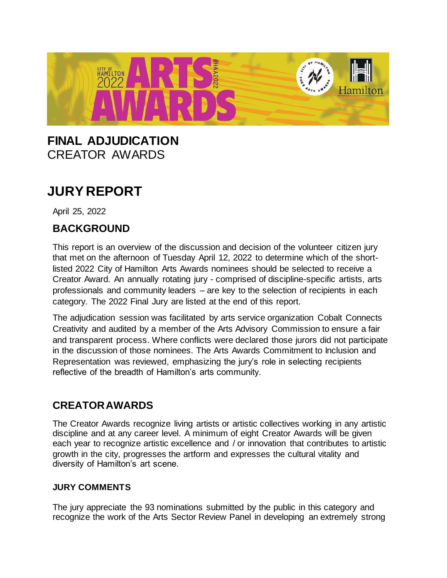

## **FINAL ADJUDICATION** CREATOR AWARDS

# **JURY REPORT**

April 25, 2022

## **BACKGROUND**

This report is an overview of the discussion and decision of the volunteer citizen jury that met on the afternoon of Tuesday April 12, 2022 to determine which of the shortlisted 2022 City of Hamilton Arts Awards nominees should be selected to receive a Creator Award. An annually rotating jury - comprised of discipline-specific artists, arts professionals and community leaders – are key to the selection of recipients in each category. The 2022 Final Jury are listed at the end of this report.

The adjudication session was facilitated by arts service organization Cobalt Connects Creativity and audited by a member of the Arts Advisory Commission to ensure a fair and transparent process. Where conflicts were declared those jurors did not participate in the discussion of those nominees. The Arts Awards Commitment to Inclusion and Representation was reviewed, emphasizing the jury's role in selecting recipients reflective of the breadth of Hamilton's arts community.

## **CREATORAWARDS**

The Creator Awards recognize living artists or artistic collectives working in any artistic discipline and at any career level. A minimum of eight Creator Awards will be given each year to recognize artistic excellence and / or innovation that contributes to artistic growth in the city, progresses the artform and expresses the cultural vitality and diversity of Hamilton's art scene.

#### **JURY COMMENTS**

The jury appreciate the 93 nominations submitted by the public in this category and recognize the work of the Arts Sector Review Panel in developing an extremely strong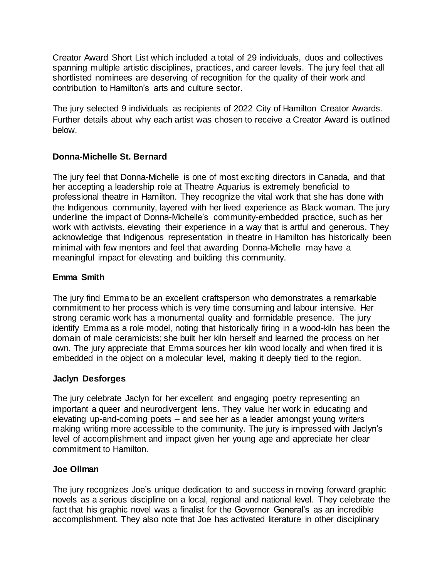Creator Award Short List which included a total of 29 individuals, duos and collectives spanning multiple artistic disciplines, practices, and career levels. The jury feel that all shortlisted nominees are deserving of recognition for the quality of their work and contribution to Hamilton's arts and culture sector.

The jury selected 9 individuals as recipients of 2022 City of Hamilton Creator Awards. Further details about why each artist was chosen to receive a Creator Award is outlined below.

#### **Donna-Michelle St. Bernard**

The jury feel that Donna-Michelle is one of most exciting directors in Canada, and that her accepting a leadership role at Theatre Aquarius is extremely beneficial to professional theatre in Hamilton. They recognize the vital work that she has done with the Indigenous community, layered with her lived experience as Black woman. The jury underline the impact of Donna-Michelle's community-embedded practice, such as her work with activists, elevating their experience in a way that is artful and generous. They acknowledge that Indigenous representation in theatre in Hamilton has historically been minimal with few mentors and feel that awarding Donna-Michelle may have a meaningful impact for elevating and building this community.

#### **Emma Smith**

The jury find Emma to be an excellent craftsperson who demonstrates a remarkable commitment to her process which is very time consuming and labour intensive. Her strong ceramic work has a monumental quality and formidable presence. The jury identify Emma as a role model, noting that historically firing in a wood-kiln has been the domain of male ceramicists; she built her kiln herself and learned the process on her own. The jury appreciate that Emma sources her kiln wood locally and when fired it is embedded in the object on a molecular level, making it deeply tied to the region.

#### **Jaclyn Desforges**

The jury celebrate Jaclyn for her excellent and engaging poetry representing an important a queer and neurodivergent lens. They value her work in educating and elevating up-and-coming poets – and see her as a leader amongst young writers making writing more accessible to the community. The jury is impressed with Jaclyn's level of accomplishment and impact given her young age and appreciate her clear commitment to Hamilton.

#### **Joe Ollman**

The jury recognizes Joe's unique dedication to and success in moving forward graphic novels as a serious discipline on a local, regional and national level. They celebrate the fact that his graphic novel was a finalist for the Governor General's as an incredible accomplishment. They also note that Joe has activated literature in other disciplinary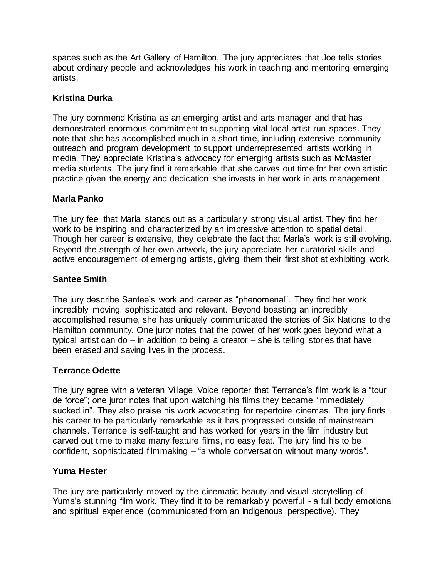spaces such as the Art Gallery of Hamilton. The jury appreciates that Joe tells stories about ordinary people and acknowledges his work in teaching and mentoring emerging artists.

#### **Kristina Durka**

The jury commend Kristina as an emerging artist and arts manager and that has demonstrated enormous commitment to supporting vital local artist-run spaces. They note that she has accomplished much in a short time, including extensive community outreach and program development to support underrepresented artists working in media. They appreciate Kristina's advocacy for emerging artists such as McMaster media students. The jury find it remarkable that she carves out time for her own artistic practice given the energy and dedication she invests in her work in arts management.

#### **Marla Panko**

The jury feel that Marla stands out as a particularly strong visual artist. They find her work to be inspiring and characterized by an impressive attention to spatial detail. Though her career is extensive, they celebrate the fact that Marla's work is still evolving. Beyond the strength of her own artwork, the jury appreciate her curatorial skills and active encouragement of emerging artists, giving them their first shot at exhibiting work.

#### **Santee Smith**

The jury describe Santee's work and career as "phenomenal". They find her work incredibly moving, sophisticated and relevant. Beyond boasting an incredibly accomplished resume, she has uniquely communicated the stories of Six Nations to the Hamilton community. One juror notes that the power of her work goes beyond what a typical artist can do – in addition to being a creator – she is telling stories that have been erased and saving lives in the process.

#### **Terrance Odette**

The jury agree with a veteran Village Voice reporter that Terrance's film work is a "tour de force"; one juror notes that upon watching his films they became "immediately sucked in". They also praise his work advocating for repertoire cinemas. The jury finds his career to be particularly remarkable as it has progressed outside of mainstream channels. Terrance is self-taught and has worked for years in the film industry but carved out time to make many feature films, no easy feat. The jury find his to be confident, sophisticated filmmaking – "a whole conversation without many words".

#### **Yuma Hester**

The jury are particularly moved by the cinematic beauty and visual storytelling of Yuma's stunning film work. They find it to be remarkably powerful - a full body emotional and spiritual experience (communicated from an Indigenous perspective). They